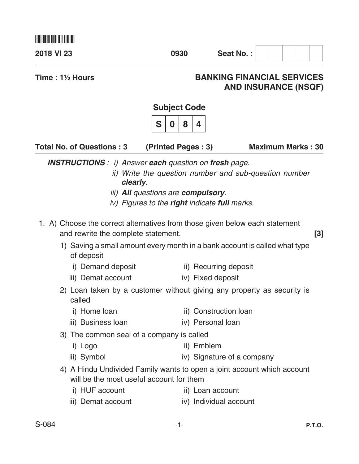| 2018 VI 23                                                                                                                                                                                     | 0930                                                                                                       | Seat No.:                                                                                                                                                                                         |  |  |  |  |  |
|------------------------------------------------------------------------------------------------------------------------------------------------------------------------------------------------|------------------------------------------------------------------------------------------------------------|---------------------------------------------------------------------------------------------------------------------------------------------------------------------------------------------------|--|--|--|--|--|
| Time: $1\frac{1}{2}$ Hours                                                                                                                                                                     |                                                                                                            | <b>BANKING FINANCIAL SERVICES</b><br><b>AND INSURANCE (NSQF)</b>                                                                                                                                  |  |  |  |  |  |
|                                                                                                                                                                                                | <b>Subject Code</b>                                                                                        |                                                                                                                                                                                                   |  |  |  |  |  |
|                                                                                                                                                                                                | S<br>8<br>4<br>0                                                                                           |                                                                                                                                                                                                   |  |  |  |  |  |
| <b>Total No. of Questions: 3</b>                                                                                                                                                               | (Printed Pages: 3)                                                                                         | <b>Maximum Marks: 30</b>                                                                                                                                                                          |  |  |  |  |  |
| <b>INSTRUCTIONS</b> : i) Answer each question on fresh page.<br>clearly.<br>1. A) Choose the correct alternatives from those given below each statement<br>and rewrite the complete statement. | <i>iii</i> ) <b>All</b> questions are <b>compulsory</b> .<br>iv) Figures to the right indicate full marks. | ii) Write the question number and sub-question number<br>$\lceil 3 \rceil$<br>1) Saving a small amount every month in a bank account is called what type                                          |  |  |  |  |  |
| of deposit<br>i) Demand deposit<br>iii) Demat account<br>called                                                                                                                                |                                                                                                            | ii) Recurring deposit<br>iv) Fixed deposit<br>2) Loan taken by a customer without giving any property as security is                                                                              |  |  |  |  |  |
| i) Home loan<br>iii) Business Ioan<br>3) The common seal of a company is called<br>i) Logo<br>iii) Symbol<br>will be the most useful account for them<br>i) HUF account<br>iii) Demat account  | ii) Emblem                                                                                                 | ii) Construction Ioan<br>iv) Personal loan<br>iv) Signature of a company<br>4) A Hindu Undivided Family wants to open a joint account which account<br>ii) Loan account<br>iv) Individual account |  |  |  |  |  |

\*S084\*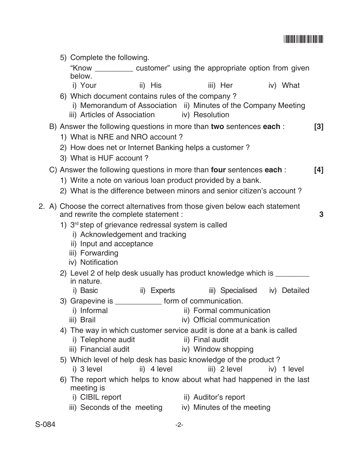## <u>\* S1844 (1984)</u>

|                                                                                                                    |                                                                                        |            | 5) Complete the following.                                      |  |  |                                                                                                  |  |                 |                                                                                                                                                   |  |  |          |                   |
|--------------------------------------------------------------------------------------------------------------------|----------------------------------------------------------------------------------------|------------|-----------------------------------------------------------------|--|--|--------------------------------------------------------------------------------------------------|--|-----------------|---------------------------------------------------------------------------------------------------------------------------------------------------|--|--|----------|-------------------|
|                                                                                                                    |                                                                                        | below.     |                                                                 |  |  |                                                                                                  |  |                 | "Know ___________ customer" using the appropriate option from given                                                                               |  |  |          |                   |
|                                                                                                                    |                                                                                        |            |                                                                 |  |  | i) Your                 ii) His                                                                  |  |                 | iii) Her                                                                                                                                          |  |  | iv) What |                   |
|                                                                                                                    |                                                                                        |            |                                                                 |  |  | 6) Which document contains rules of the company?<br>iii) Articles of Association (iv) Resolution |  |                 | i) Memorandum of Association ii) Minutes of the Company Meeting                                                                                   |  |  |          |                   |
|                                                                                                                    |                                                                                        |            |                                                                 |  |  |                                                                                                  |  |                 | B) Answer the following questions in more than two sentences each:                                                                                |  |  |          | $\lceil 3 \rceil$ |
| 1) What is NRE and NRO account?                                                                                    |                                                                                        |            |                                                                 |  |  |                                                                                                  |  |                 |                                                                                                                                                   |  |  |          |                   |
| 2) How does net or Internet Banking helps a customer?<br>3) What is HUF account?                                   |                                                                                        |            |                                                                 |  |  |                                                                                                  |  |                 |                                                                                                                                                   |  |  |          |                   |
|                                                                                                                    |                                                                                        |            |                                                                 |  |  |                                                                                                  |  |                 |                                                                                                                                                   |  |  |          |                   |
|                                                                                                                    |                                                                                        |            |                                                                 |  |  |                                                                                                  |  |                 | C) Answer the following questions in more than <b>four</b> sentences <b>each</b> :<br>1) Write a note on various loan product provided by a bank. |  |  |          | [4]               |
|                                                                                                                    |                                                                                        |            |                                                                 |  |  |                                                                                                  |  |                 | 2) What is the difference between minors and senior citizen's account?                                                                            |  |  |          |                   |
|                                                                                                                    |                                                                                        |            |                                                                 |  |  |                                                                                                  |  |                 |                                                                                                                                                   |  |  |          |                   |
|                                                                                                                    |                                                                                        |            |                                                                 |  |  | and rewrite the complete statement :                                                             |  |                 | 2. A) Choose the correct alternatives from those given below each statement                                                                       |  |  |          | 3                 |
|                                                                                                                    |                                                                                        |            |                                                                 |  |  | 1) 3 <sup>rd</sup> step of grievance redressal system is called                                  |  |                 |                                                                                                                                                   |  |  |          |                   |
|                                                                                                                    |                                                                                        |            | ii) Input and acceptance<br>iii) Forwarding<br>iv) Notification |  |  | i) Acknowledgement and tracking                                                                  |  |                 |                                                                                                                                                   |  |  |          |                   |
|                                                                                                                    | 2) Level 2 of help desk usually has product knowledge which is _________<br>in nature. |            |                                                                 |  |  |                                                                                                  |  |                 |                                                                                                                                                   |  |  |          |                   |
|                                                                                                                    |                                                                                        |            | i) Basic                                                        |  |  |                                                                                                  |  |                 | ii) Experts iii) Specialised iv) Detailed                                                                                                         |  |  |          |                   |
|                                                                                                                    |                                                                                        |            |                                                                 |  |  | 3) Grapevine is _______________ form of communication.                                           |  |                 |                                                                                                                                                   |  |  |          |                   |
|                                                                                                                    |                                                                                        | iii) Brail | i) Informal                                                     |  |  |                                                                                                  |  |                 | ii) Formal communication<br>iv) Official communication                                                                                            |  |  |          |                   |
|                                                                                                                    |                                                                                        |            |                                                                 |  |  |                                                                                                  |  |                 | 4) The way in which customer service audit is done at a bank is called                                                                            |  |  |          |                   |
|                                                                                                                    |                                                                                        |            | i) Telephone audit                                              |  |  |                                                                                                  |  | ii) Final audit |                                                                                                                                                   |  |  |          |                   |
|                                                                                                                    |                                                                                        |            | iii) Financial audit                                            |  |  |                                                                                                  |  |                 | iv) Window shopping                                                                                                                               |  |  |          |                   |
|                                                                                                                    |                                                                                        |            |                                                                 |  |  |                                                                                                  |  |                 | 5) Which level of help desk has basic knowledge of the product?                                                                                   |  |  |          |                   |
| i) 3 level<br>ii) 4 level<br>iii) 2 level<br>6) The report which helps to know about what had happened in the last |                                                                                        |            |                                                                 |  |  |                                                                                                  |  | iv) 1 level     |                                                                                                                                                   |  |  |          |                   |
|                                                                                                                    |                                                                                        |            | meeting is                                                      |  |  |                                                                                                  |  |                 |                                                                                                                                                   |  |  |          |                   |
|                                                                                                                    |                                                                                        |            | i) CIBIL report                                                 |  |  |                                                                                                  |  |                 | ii) Auditor's report                                                                                                                              |  |  |          |                   |
|                                                                                                                    |                                                                                        |            | iii) Seconds of the meeting                                     |  |  |                                                                                                  |  |                 | iv) Minutes of the meeting                                                                                                                        |  |  |          |                   |